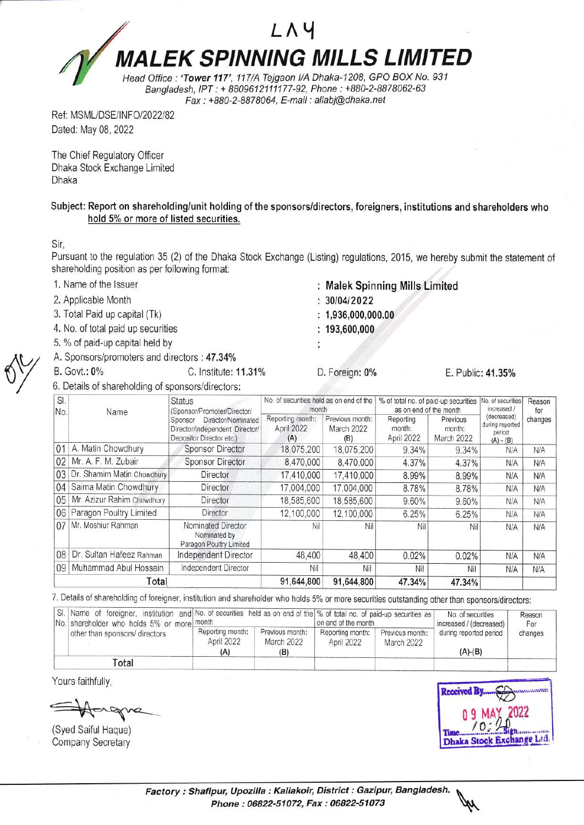## $L$   $\wedge$  4 **MALEK SPINNING MILLS LIMITED** Head Office : 'Tower 117', 117/A Tejgaon I/A Dhaka-1208, GPO BOX No. 931

Bangladesh, IPT : + 8809612111177-92, Phone: +880-2-8878062-63 Fax : + 880-2-BB7 8064, E-mail : allabi@dhaka. net

Ref: MSML/DSE/INFO/2022/82 Dated: May 08, 2022

The Chief Regulatory Officer Dhaka Stock Exchange Limited Dhaka

Subject: Report on shareholding/unit holding of the sponsors/directors, foreigners, institutions and shareholders who hold 5% or more of listed securities.

Sir,

Pursuant to the regulation 35 (2) of the Dhaka Stock Exchange (Listing) regulations, 2015, we hereby submit the statement of shareholding position as per following format:

: Malek Spinning Mills Limited

3010412022  $: 1,936,000,000.00$  $: 193,600,000$ 

- 1. Name of the lssuer
- 2. Applicable Month
- 3. Total Paid up capital (Tk)
- 4. No. of total paid up secunties
- 5. % of paid-up capital held by
- A. Sponsors/promoters and directors : 47.34%

B. Govt.: 0% C. Institute: 11.31%

4. Sponsors/promoters and directors : 47.34%<br>
B. Govt.: 0% C. Institute: 11.31% D. Foreign: 0%<br>
6. Details of shareholding of sponsors/directors:

SI No. Name **Status** (Sponsor/Promoter/Director/ Sponsor Director/Nominated Director/Independent Director/ Depositor Director etc.) No of securities held as on end of the month % of total no. of paid-up securities No. of securities as on end of the month increased / (decreased) during reported period  $(A) - (B)$ Reason for<br>changes Reporting month: April 2022  $\frac{(A)}{18,075,200}$ Previous month: March 2022 (B) Reporting month: April 2022 Previous month: March 2022 01 A. Matin Chowdhury Sponsor Director 18, 075, 200 18, 075, 200 9.34% 9.34% N/A N/A 02 Mr. A. F. M. Zubair Sponsor Director 8,470,000 8,470,000 4.37% 4.37% N/A N/A 03 Dr. Shamim Matin Chowdhury Director 17,410,000 17,410,000 8.99% 8.99% N/A N/A 04 Saima Matin Chowdhury Director 17,004,000 17,004,000 8.78% 8.78% N/A N/A 05 Mr. Azizur Rahim Chowdhury Director 18,585,600 18,585,600 9.60% 9.60% N/A N/A 06 Paragon Poultry Limited Director 12,100,000 12,100,000 6.25% 6.25% N/A N/A 07 Mr. Moshiur Rahman Nominated Director Nomihated by Paragon Poultry Limited NII NII NII NII NII N*IA* | N*IA* OB Dr. Sultan Hafeez Rahman | Independent Director | 48,400 | 48,400 | 0.02% | 0.02% | N/A | N/A 09 Muhammad Abul Hossain Independent Director Nil Nil Nil Nil Nil Nil NiA N/A N/A Total 91,644,800 91,644,800 47.34% 47.34%

7. Details of shareholding of foreigner, institution and shareholder who holds 5% or more securities outstanding other than sponsors/directors:

| No. shareholder who holds 5% or more month | SI. Name of foreigner, institution and No. of securities held as on end of the % of total no. of paid-up securities as |                               |                                | on end of the month           |                        | Reason<br>For |
|--------------------------------------------|------------------------------------------------------------------------------------------------------------------------|-------------------------------|--------------------------------|-------------------------------|------------------------|---------------|
| other than sponsors/ directors             | Reporting month:<br>April 2022                                                                                         | Previous month:<br>March 2022 | Reporting month:<br>April 2022 | Previous month:<br>March 2022 | during reported period | changes       |
| Total                                      | (A)                                                                                                                    | (B)                           |                                |                               | $(A)-(B)$              |               |

Yours faithfully,

(Syed Saiful Haque) Company Secretary

**Received B** 

E. Public: 41.35%

Factory : Shafipur, Upozilla : Kaliakoir, District : Gazipur, Bangladesh. Phone : 06822-51072, Fax : 06822-51073